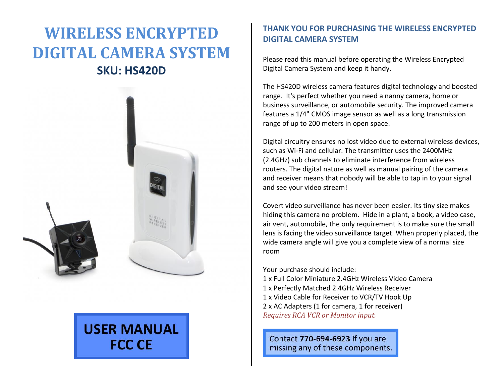# **WIRELESS ENCRYPTED DIGITAL CAMERA SYSTEM SKU: HS420D**



# **USER MANUAL FCC CE**

## **THANK YOU FOR PURCHASING THE WIRELESS ENCRYPTED DIGITAL CAMERA SYSTEM**

Please read this manual before operating the Wireless Encrypted Digital Camera System and keep it handy.

The HS420D wireless camera features digital technology and boosted range. It's perfect whether you need a nanny camera, home or business surveillance, or automobile security. The improved camera features a 1/4" CMOS image sensor as well as a long transmission range of up to 200 meters in open space.

Digital circuitry ensures no lost video due to external wireless devices, such as Wi-Fi and cellular. The transmitter uses the 2400MHz (2.4GHz) sub channels to eliminate interference from wireless routers. The digital nature as well as manual pairing of the camera and receiver means that nobody will be able to tap in to your signal and see your video stream!

Covert video surveillance has never been easier. Its tiny size makes hiding this camera no problem. Hide in a plant, a book, a video case, air vent, automobile, the only requirement is to make sure the small lens is facing the video surveillance target. When properly placed, the wide camera angle will give you a complete view of a normal size room

Your purchase should include:

1 x Full Color Miniature 2.4GHz Wireless Video Camera 1 x Perfectly Matched 2.4GHz Wireless Receiver 1 x Video Cable for Receiver to VCR/TV Hook Up 2 x AC Adapters (1 for camera, 1 for receiver) *Requires RCA VCR or Monitor input.*

Contact 770-694-6923 if you are missing any of these components.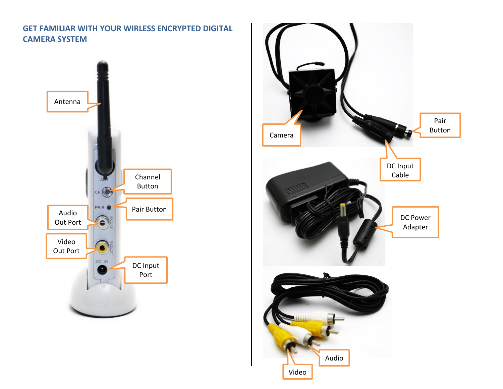# **GET FAMILIAR WITH YOUR WIRLESS ENCRYPTED DIGITAL CAMERA SYSTEM**



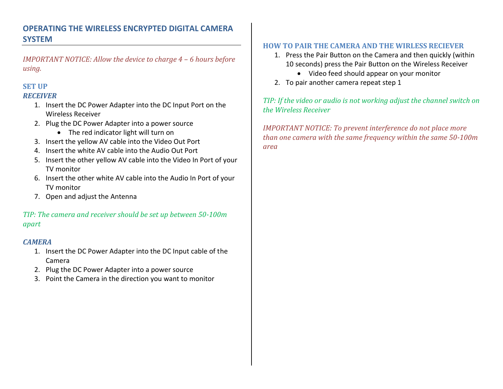# **OPERATING THE WIRELESS ENCRYPTED DIGITAL CAMERA SYSTEM**

*IMPORTANT NOTICE: Allow the device to charge 4 – 6 hours before using.*

#### **SET UP** *RECEIVER*

- 1. Insert the DC Power Adapter into the DC Input Port on the Wireless Receiver
- 2. Plug the DC Power Adapter into a power source
	- The red indicator light will turn on
- 3. Insert the yellow AV cable into the Video Out Port
- 4. Insert the white AV cable into the Audio Out Port
- 5. Insert the other yellow AV cable into the Video In Port of your TV monitor
- 6. Insert the other white AV cable into the Audio In Port of your TV monitor
- 7. Open and adjust the Antenna

## *TIP: The camera and receiver should be set up between 50-100m apart*

## *CAMERA*

- 1. Insert the DC Power Adapter into the DC Input cable of the Camera
- 2. Plug the DC Power Adapter into a power source
- 3. Point the Camera in the direction you want to monitor

## **HOW TO PAIR THE CAMERA AND THE WIRLESS RECIEVER**

- 1. Press the Pair Button on the Camera and then quickly (within 10 seconds) press the Pair Button on the Wireless Receiver
	- Video feed should appear on your monitor
- 2. To pair another camera repeat step 1

*TIP: If the video or audio is not working adjust the channel switch on the Wireless Receiver* 

*IMPORTANT NOTICE: To prevent interference do not place more than one camera with the same frequency within the same 50-100m area*